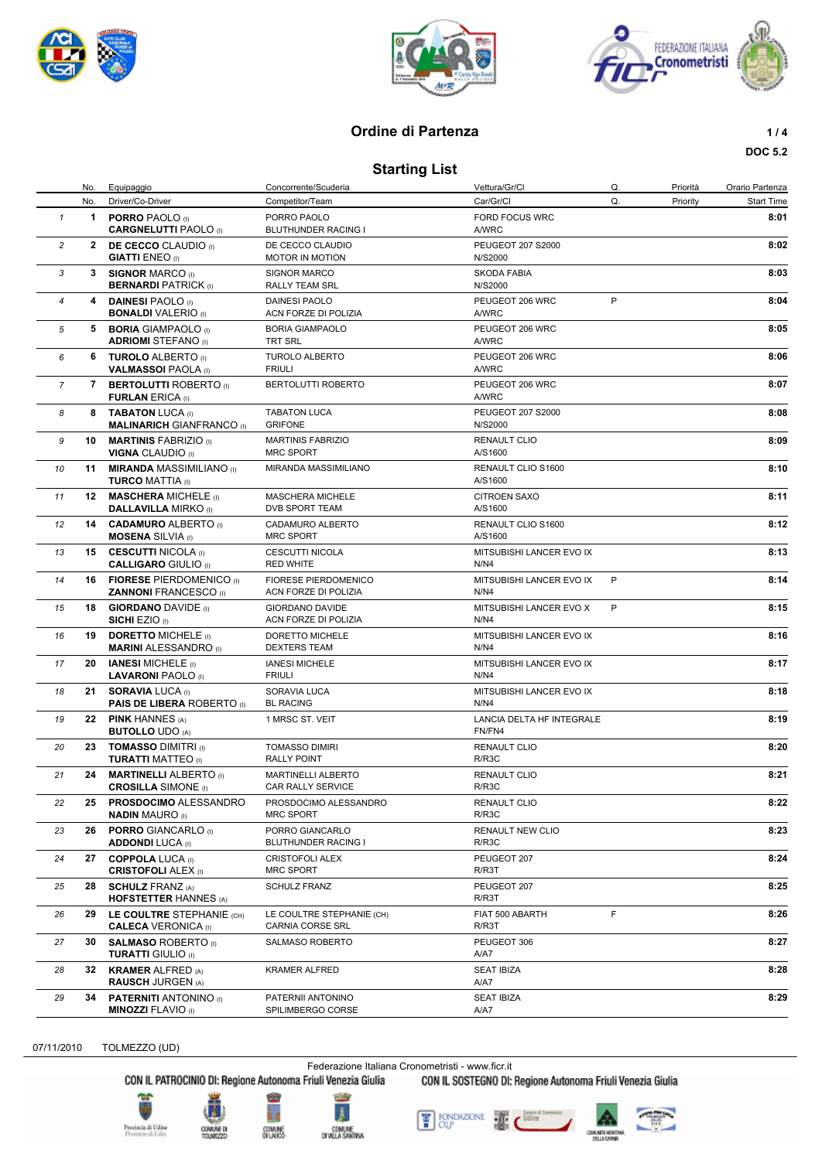





# **Ordine di Partenza 1/4**

**DOC 5.2**

## **Starting List**

|                |     | No. Equipaggio                                                     | Concorrente/Scuderia                                | Vettura/Gr/Cl                         | Q. | Priorità | Orario Partenza   |
|----------------|-----|--------------------------------------------------------------------|-----------------------------------------------------|---------------------------------------|----|----------|-------------------|
|                | No. | Driver/Co-Driver                                                   | Competitor/Team                                     | Car/Gr/Cl                             | Q. | Priority | <b>Start Time</b> |
| $\mathbf{1}$   |     | 1 <b>PORRO</b> PAOLO $(1)$<br><b>CARGNELUTTI PAOLO</b> (I)         | PORRO PAOLO<br>BLUTHUNDER RACING I                  | <b>FORD FOCUS WRC</b><br><b>A/WRC</b> |    |          | 8:01              |
| $\overline{c}$ |     | <b>2 DE CECCO</b> CLAUDIO (I)<br><b>GIATTI ENEO</b> (I)            | DE CECCO CLAUDIO<br><b>MOTOR IN MOTION</b>          | PEUGEOT 207 S2000<br>N/S2000          |    |          | 8:02              |
| 3              |     | 3 SIGNOR MARCO (i)<br><b>BERNARDI PATRICK (I)</b>                  | <b>SIGNOR MARCO</b><br>RALLY TEAM SRL               | SKODA FABIA<br>N/S2000                |    |          | 8:03              |
| $\overline{4}$ |     | 4 DAINESI PAOLO (I)<br><b>BONALDI VALERIO</b> (I)                  | <b>DAINESI PAOLO</b><br>ACN FORZE DI POLIZIA        | PEUGEOT 206 WRC<br>A/WRC              | P  |          | 8:04              |
| 5              |     | 5 BORIA GIAMPAOLO (I)<br><b>ADRIOMI STEFANO</b> (I)                | <b>BORIA GIAMPAOLO</b><br><b>TRT SRL</b>            | PEUGEOT 206 WRC<br><b>A/WRC</b>       |    |          | 8:05              |
| 6              |     | 6 TUROLO ALBERTO (I)<br><b>VALMASSOI PAOLA (I)</b>                 | <b>TUROLO ALBERTO</b><br><b>FRIULI</b>              | PEUGEOT 206 WRC<br><b>A/WRC</b>       |    |          | 8:06              |
| $\overline{7}$ |     | 7 BERTOLUTTI ROBERTO (I)<br><b>FURLAN ERICA (I)</b>                | BERTOLUTTI ROBERTO                                  | PEUGEOT 206 WRC<br><b>A/WRC</b>       |    |          | 8:07              |
| 8              |     | 8 TABATON LUCA (I)<br><b>MALINARICH GIANFRANCO (I)</b>             | <b>TABATON LUCA</b><br><b>GRIFONE</b>               | PEUGEOT 207 S2000<br>N/S2000          |    |          | 8:08              |
| 9              |     | 10 MARTINIS FABRIZIO (I)<br><b>VIGNA CLAUDIO (I)</b>               | <b>MARTINIS FABRIZIO</b><br><b>MRC SPORT</b>        | <b>RENAULT CLIO</b><br>A/S1600        |    |          | 8:09              |
| 10             | 11  | <b>MIRANDA MASSIMILIANO (I)</b><br><b>TURCO MATTIA (I)</b>         | MIRANDA MASSIMILIANO                                | RENAULT CLIO S1600<br>A/S1600         |    |          | 8:10              |
| 11             |     | <b>12 MASCHERA MICHELE (I)</b><br><b>DALLAVILLA MIRKO (I)</b>      | MASCHERA MICHELE<br>DVB SPORT TEAM                  | <b>CITROEN SAXO</b><br>A/S1600        |    |          | 8:11              |
| 12             |     | 14 CADAMURO ALBERTO (I)<br><b>MOSENA SILVIA (I)</b>                | CADAMURO ALBERTO<br><b>MRC SPORT</b>                | RENAULT CLIO S1600<br>A/S1600         |    |          | 8:12              |
| 13             |     | 15 CESCUTTI NICOLA (i)<br><b>CALLIGARO GIULIO (I)</b>              | <b>CESCUTTI NICOLA</b><br><b>RED WHITE</b>          | MITSUBISHI LANCER EVO IX<br>N/N4      |    |          | 8:13              |
| 14             |     | <b>16 FIORESE PIERDOMENICO (i)</b><br><b>ZANNONI FRANCESCO (I)</b> | <b>FIORESE PIERDOMENICO</b><br>ACN FORZE DI POLIZIA | MITSUBISHI LANCER EVO IX<br>N/N4      | P  |          | 8:14              |
| 15             |     | <b>18 GIORDANO DAVIDE</b> (I)<br><b>SICHI EZIO</b> (I)             | GIORDANO DAVIDE<br>ACN FORZE DI POLIZIA             | MITSUBISHI LANCER EVO X<br>N/N4       | P  |          | 8:15              |
| 16             | 19  | <b>DORETTO MICHELE (i)</b><br><b>MARINI ALESSANDRO</b> (I)         | DORETTO MICHELE<br><b>DEXTERS TEAM</b>              | MITSUBISHI LANCER EVO IX<br>N/N4      |    |          | 8:16              |
| 17             | 20  | <b>IANESI MICHELE</b> (I)<br><b>LAVARONI PAOLO</b> (I)             | <b>IANESI MICHELE</b><br><b>FRIULI</b>              | MITSUBISHI LANCER EVO IX<br>N/N4      |    |          | 8:17              |
| 18             |     | 21 SORAVIA LUCA (I)<br><b>PAIS DE LIBERA ROBERTO</b> (i)           | SORAVIA LUCA<br><b>BL RACING</b>                    | MITSUBISHI LANCER EVO IX<br>N/N4      |    |          | 8:18              |
| 19             |     | 22 PINK HANNES (A)<br><b>BUTOLLO UDO (A)</b>                       | 1 MRSC ST. VEIT                                     | LANCIA DELTA HF INTEGRALE<br>FN/FN4   |    |          | 8:19              |
| 20             | 23  | <b>TOMASSO DIMITRI (I)</b><br><b>TURATTI MATTEO</b> (I)            | <b>TOMASSO DIMIRI</b><br><b>RALLY POINT</b>         | <b>RENAULT CLIO</b><br>R/R3C          |    |          | 8:20              |
| 21             | 24  | <b>MARTINELLI ALBERTO</b> (I)<br><b>CROSILLA SIMONE</b> (I)        | <b>MARTINELLI ALBERTO</b><br>CAR RALLY SERVICE      | <b>RENAULT CLIO</b><br>R/R3C          |    |          | 8:21              |
| 22             | 25  | <b>PROSDOCIMO ALESSANDRO</b><br><b>NADIN MAURO (I)</b>             | PROSDOCIMO ALESSANDRO<br>MRC SPORT                  | <b>RENAULT CLIO</b><br>R/R3C          |    |          | 8:22              |
| 23             | 26  | <b>PORRO GIANCARLO</b> (I)<br><b>ADDONDI LUCA (I)</b>              | PORRO GIANCARLO<br>BLUTHUNDER RACING I              | <b>RENAULT NEW CLIO</b><br>R/R3C      |    |          | 8:23              |
| 24             | 27  | <b>COPPOLA LUCA</b> (I)<br><b>CRISTOFOLI ALEX (I)</b>              | <b>CRISTOFOLI ALEX</b><br>MRC SPORT                 | PEUGEOT 207<br>R/R3T                  |    |          | 8:24              |
| 25             | 28  | <b>SCHULZ FRANZ (A)</b><br><b>HOFSTETTER HANNES (A)</b>            | <b>SCHULZ FRANZ</b>                                 | PEUGEOT 207<br>R/R3T                  |    |          | 8:25              |
| 26             |     | 29 LE COULTRE STEPHANIE (CH)<br><b>CALECA VERONICA</b> (I)         | LE COULTRE STEPHANIE (CH)<br>CARNIA CORSE SRL       | FIAT 500 ABARTH<br>R/R3T              | F  |          | 8:26              |
| 27             | 30  | <b>SALMASO ROBERTO</b> (i)<br><b>TURATTI GIULIO</b> (I)            | SALMASO ROBERTO                                     | PEUGEOT 306<br>A/A7                   |    |          | 8:27              |
| 28             | 32  | <b>KRAMER ALFRED (A)</b><br><b>RAUSCH JURGEN (A)</b>               | <b>KRAMER ALFRED</b>                                | <b>SEAT IBIZA</b><br>A/A7             |    |          | 8:28              |
| 29             | 34  | <b>PATERNITI ANTONINO</b> (I)<br><b>MINOZZI FLAVIO</b> (I)         | PATERNII ANTONINO<br>SPILIMBERGO CORSE              | <b>SEAT IBIZA</b><br>A/A7             |    |          | 8:29              |

07/11/2010 TOLMEZZO (UD)

Federazione Italiana Cronometristi - www.ficr.it<br>CON IL PATROCINIO DI: Regione Autonoma Friuli Venezia Giulia CON IL SOSTEGNO DI:

CON IL SOSTEGNO DI: Regione Autonoma Friuli Venezia Giulia





COMUNE DI<br>TOUMEZZO







۷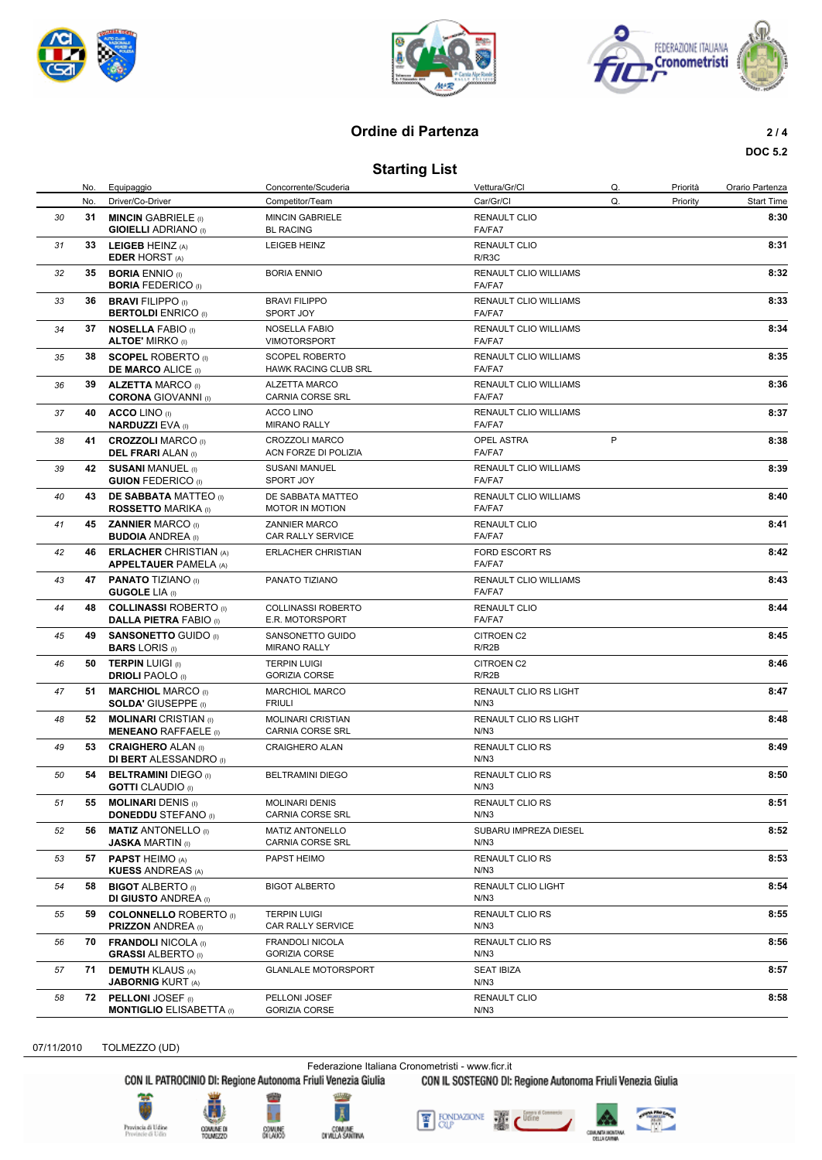





## **Ordine di Partenza** 2/4

## **DOC 5.2**

**Starting List**

|    | No. | Equipaggio                                                    | Concorrente/Scuderia                          | Vettura/Gr/Cl                          | Q.      | Priorità | Orario Partenza   |
|----|-----|---------------------------------------------------------------|-----------------------------------------------|----------------------------------------|---------|----------|-------------------|
|    | No. | Driver/Co-Driver                                              | Competitor/Team                               | Car/Gr/Cl                              | Q.      | Priority | <b>Start Time</b> |
| 30 | 31  | <b>MINCIN GABRIELE</b> (I)<br><b>GIOIELLI ADRIANO</b> (I)     | <b>MINCIN GABRIELE</b><br><b>BL RACING</b>    | <b>RENAULT CLIO</b><br>FA/FA7          |         |          | 8:30              |
| 31 |     | 33 LEIGEB HEINZ (A)<br><b>EDER HORST (A)</b>                  | LEIGEB HEINZ                                  | <b>RENAULT CLIO</b><br>R/R3C           |         |          | 8:31              |
| 32 | 35  | <b>BORIA ENNIO</b> (I)<br><b>BORIA FEDERICO (I)</b>           | <b>BORIA ENNIO</b>                            | <b>RENAULT CLIO WILLIAMS</b><br>FA/FA7 |         |          | 8:32              |
| 33 | 36  | <b>BRAVI FILIPPO (I)</b><br><b>BERTOLDI</b> ENRICO (I)        | <b>BRAVI FILIPPO</b><br>SPORT JOY             | <b>RENAULT CLIO WILLIAMS</b><br>FA/FA7 |         |          | 8:33              |
| 34 |     | 37 NOSELLA FABIO (I)<br><b>ALTOE' MIRKO</b> (I)               | <b>NOSELLA FABIO</b><br><b>VIMOTORSPORT</b>   | RENAULT CLIO WILLIAMS<br>FA/FA7        |         |          | 8:34              |
| 35 | 38  | <b>SCOPEL ROBERTO</b> (i)<br><b>DE MARCO ALICE (I)</b>        | <b>SCOPEL ROBERTO</b><br>HAWK RACING CLUB SRL | <b>RENAULT CLIO WILLIAMS</b><br>FA/FA7 |         |          | 8:35              |
| 36 | 39  | <b>ALZETTA MARCO (I)</b><br><b>CORONA GIOVANNI</b> (I)        | ALZETTA MARCO<br>CARNIA CORSE SRL             | <b>RENAULT CLIO WILLIAMS</b><br>FA/FA7 |         |          | 8:36              |
| 37 |     | 40 ACCO LINO (I)<br><b>NARDUZZI EVA (I)</b>                   | ACCO LINO<br><b>MIRANO RALLY</b>              | <b>RENAULT CLIO WILLIAMS</b><br>FA/FA7 |         |          | 8:37              |
| 38 |     | 41 CROZZOLI MARCO (I)<br><b>DEL FRARI</b> ALAN (I)            | CROZZOLI MARCO<br>ACN FORZE DI POLIZIA        | OPEL ASTRA<br>FA/FA7                   | $\sf P$ |          | 8:38              |
| 39 | 42  | <b>SUSANI MANUEL (I)</b><br><b>GUION FEDERICO (I)</b>         | <b>SUSANI MANUEL</b><br><b>SPORT JOY</b>      | RENAULT CLIO WILLIAMS<br>FA/FA7        |         |          | 8:39              |
| 40 | 43  | <b>DE SABBATA MATTEO</b> (i)<br><b>ROSSETTO MARIKA</b> (I)    | DE SABBATA MATTEO<br>MOTOR IN MOTION          | <b>RENAULT CLIO WILLIAMS</b><br>FA/FA7 |         |          | 8:40              |
| 41 |     | 45 ZANNIER MARCO (I)<br><b>BUDOIA ANDREA</b> (I)              | <b>ZANNIER MARCO</b><br>CAR RALLY SERVICE     | <b>RENAULT CLIO</b><br>FA/FA7          |         |          | 8:41              |
| 42 | 46  | <b>ERLACHER CHRISTIAN (A)</b><br><b>APPELTAUER PAMELA (A)</b> | <b>ERLACHER CHRISTIAN</b>                     | FORD ESCORT RS<br>FA/FA7               |         |          | 8:42              |
| 43 |     | 47 PANATO TIZIANO (I)<br><b>GUGOLE LIA (I)</b>                | PANATO TIZIANO                                | <b>RENAULT CLIO WILLIAMS</b><br>FA/FA7 |         |          | 8:43              |
| 44 |     | 48 COLLINASSI ROBERTO (I)<br><b>DALLA PIETRA FABIO (I)</b>    | <b>COLLINASSI ROBERTO</b><br>E.R. MOTORSPORT  | <b>RENAULT CLIO</b><br>FA/FA7          |         |          | 8:44              |
| 45 |     | 49 SANSONETTO GUIDO (I)<br><b>BARS LORIS</b> (I)              | SANSONETTO GUIDO<br><b>MIRANO RALLY</b>       | CITROEN C2<br>R/R2B                    |         |          | 8:45              |
| 46 | 50  | <b>TERPIN LUIGI (i)</b><br><b>DRIOLI PAOLO</b> (I)            | <b>TERPIN LUIGI</b><br><b>GORIZIA CORSE</b>   | CITROEN C2<br>R/R2B                    |         |          | 8:46              |
| 47 | 51  | <b>MARCHIOL MARCO</b> (I)<br><b>SOLDA' GIUSEPPE</b> (I)       | <b>MARCHIOL MARCO</b><br><b>FRIULI</b>        | RENAULT CLIO RS LIGHT<br>N/N3          |         |          | 8:47              |
| 48 |     | 52 MOLINARI CRISTIAN (I)<br><b>MENEANO RAFFAELE</b> (I)       | <b>MOLINARI CRISTIAN</b><br>CARNIA CORSE SRL  | RENAULT CLIO RS LIGHT<br>N/N3          |         |          | 8:48              |
| 49 | 53  | <b>CRAIGHERO ALAN (I)</b><br><b>DI BERT ALESSANDRO</b> (I)    | CRAIGHERO ALAN                                | <b>RENAULT CLIO RS</b><br>N/N3         |         |          | 8:49              |
| 50 | 54  | <b>BELTRAMINI DIEGO</b> (I)<br><b>GOTTI</b> CLAUDIO (I)       | <b>BELTRAMINI DIEGO</b>                       | <b>RENAULT CLIO RS</b><br>N/N3         |         |          | 8:50              |
| 51 | 55  | <b>MOLINARI DENIS (I)</b><br><b>DONEDDU STEFANO</b> (I)       | <b>MOLINARI DENIS</b><br>CARNIA CORSE SRL     | RENAULT CLIO RS<br>N/N3                |         |          | 8:51              |
| 52 | 56  | <b>MATIZ ANTONELLO</b> (I)<br><b>JASKA MARTIN</b> (I)         | <b>MATIZ ANTONELLO</b><br>CARNIA CORSE SRL    | SUBARU IMPREZA DIESEL<br>N/N3          |         |          | 8:52              |
| 53 | 57  | <b>PAPST HEIMO (A)</b><br><b>KUESS ANDREAS (A)</b>            | PAPST HEIMO                                   | RENAULT CLIO RS<br>N/N3                |         |          | 8:53              |
| 54 | 58  | <b>BIGOT ALBERTO</b> (I)<br><b>DI GIUSTO ANDREA</b> (I)       | <b>BIGOT ALBERTO</b>                          | RENAULT CLIO LIGHT<br>N/N3             |         |          | 8:54              |
| 55 | 59  | <b>COLONNELLO ROBERTO</b> (i)<br><b>PRIZZON ANDREA</b> (I)    | <b>TERPIN LUIGI</b><br>CAR RALLY SERVICE      | RENAULT CLIO RS<br>N/N3                |         |          | 8:55              |
| 56 | 70  | <b>FRANDOLI NICOLA (I)</b><br><b>GRASSI ALBERTO</b> (I)       | FRANDOLI NICOLA<br>GORIZIA CORSE              | RENAULT CLIO RS<br>N/N3                |         |          | 8:56              |
| 57 | 71  | <b>DEMUTH KLAUS (A)</b><br><b>JABORNIG KURT (A)</b>           | <b>GLANLALE MOTORSPORT</b>                    | <b>SEAT IBIZA</b><br>N/N3              |         |          | 8:57              |
| 58 | 72  | <b>PELLONI JOSEF</b> (i)<br><b>MONTIGLIO ELISABETTA</b> (I)   | PELLONI JOSEF<br><b>GORIZIA CORSE</b>         | <b>RENAULT CLIO</b><br>N/N3            |         |          | 8:58              |

07/11/2010 TOLMEZZO (UD)

Federazione Italiana Cronometristi - www.ficr.it<br>CON IL PATROCINIO DI: Regione Autonoma Friuli Venezia Giulia CON IL SOSTEGNO DI: Regione Autonoma Friuli Venezia Giulia





COMUME D<br>TOUMEZZE







۷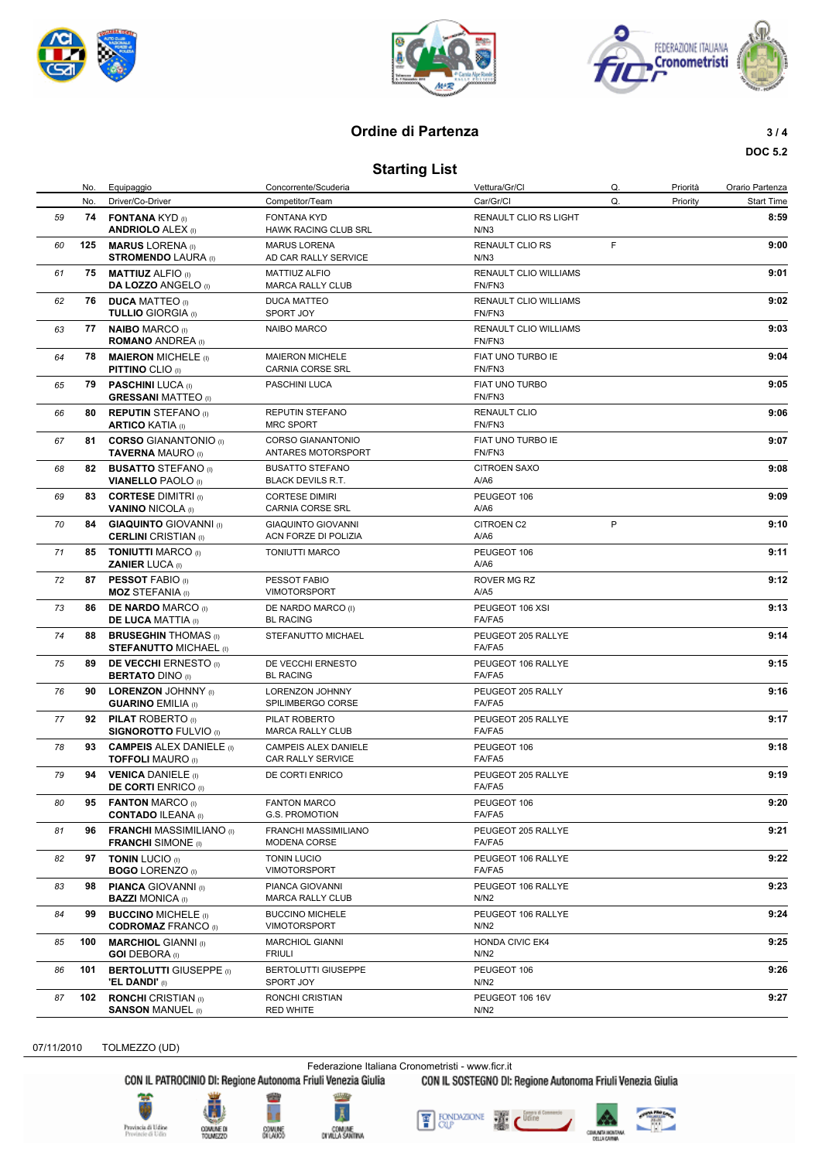





#### **Ordine di Partenza 3/4**

#### **DOC 5.2**

**Starting List**

|    | No. | Equipaggio                                                   | Concorrente/Scuderia                               | Vettura/Gr/Cl                          | Q. | Priorità | Orario Partenza   |
|----|-----|--------------------------------------------------------------|----------------------------------------------------|----------------------------------------|----|----------|-------------------|
|    | No. | Driver/Co-Driver                                             | Competitor/Team                                    | Car/Gr/Cl                              | Q. | Priority | <b>Start Time</b> |
| 59 |     | 74 FONTANA KYD (I)<br><b>ANDRIOLO ALEX (I)</b>               | <b>FONTANA KYD</b><br>HAWK RACING CLUB SRL         | RENAULT CLIO RS LIGHT<br>N/N3          |    |          | 8:59              |
| 60 | 125 | <b>MARUS LORENA</b> (i)<br><b>STROMENDO LAURA</b> (I)        | <b>MARUS LORENA</b><br>AD CAR RALLY SERVICE        | RENAULT CLIO RS<br>N/N3                | F  |          | 9:00              |
| 61 | 75  | <b>MATTIUZ ALFIO</b> (i)<br><b>DA LOZZO ANGELO</b> (I)       | <b>MATTIUZ ALFIO</b><br>MARCA RALLY CLUB           | <b>RENAULT CLIO WILLIAMS</b><br>FN/FN3 |    |          | 9:01              |
| 62 |     | 76 DUCA MATTEO (I)<br><b>TULLIO GIORGIA (I)</b>              | <b>DUCA MATTEO</b><br>SPORT JOY                    | RENAULT CLIO WILLIAMS<br>FN/FN3        |    |          | 9:02              |
| 63 | 77  | <b>NAIBO MARCO (i)</b><br><b>ROMANO ANDREA</b> (I)           | <b>NAIBO MARCO</b>                                 | RENAULT CLIO WILLIAMS<br>FN/FN3        |    |          | 9:03              |
| 64 | 78  | <b>MAIERON MICHELE (i)</b><br><b>PITTINO CLIO (I)</b>        | <b>MAIERON MICHELE</b><br><b>CARNIA CORSE SRL</b>  | FIAT UNO TURBO IE<br>FN/FN3            |    |          | 9:04              |
| 65 | 79  | <b>PASCHINI LUCA (I)</b><br><b>GRESSANI MATTEO</b> (I)       | PASCHINI LUCA                                      | FIAT UNO TURBO<br>FN/FN3               |    |          | 9:05              |
| 66 |     | 80 REPUTIN STEFANO (I)<br><b>ARTICO KATIA (I)</b>            | <b>REPUTIN STEFANO</b><br><b>MRC SPORT</b>         | <b>RENAULT CLIO</b><br>FN/FN3          |    |          | 9:06              |
| 67 | 81  | <b>CORSO GIANANTONIO</b> (I)<br><b>TAVERNA MAURO (I)</b>     | <b>CORSO GIANANTONIO</b><br>ANTARES MOTORSPORT     | FIAT UNO TURBO IE<br>FN/FN3            |    |          | 9:07              |
| 68 | 82  | <b>BUSATTO STEFANO</b> (i)<br><b>VIANELLO PAOLO</b> (I)      | <b>BUSATTO STEFANO</b><br><b>BLACK DEVILS R.T.</b> | <b>CITROEN SAXO</b><br>A/A6            |    |          | 9:08              |
| 69 | 83  | <b>CORTESE DIMITRI</b> (I)<br><b>VANINO NICOLA (I)</b>       | <b>CORTESE DIMIRI</b><br><b>CARNIA CORSE SRL</b>   | PEUGEOT 106<br>A/A6                    |    |          | 9:09              |
| 70 | 84  | <b>GIAQUINTO GIOVANNI</b> (I)<br><b>CERLINI</b> CRISTIAN (I) | <b>GIAQUINTO GIOVANNI</b><br>ACN FORZE DI POLIZIA  | <b>CITROEN C2</b><br>A/A6              | P  |          | 9:10              |
| 71 |     | 85 TONIUTTI MARCO (I)<br><b>ZANIER LUCA (I)</b>              | <b>TONIUTTI MARCO</b>                              | PEUGEOT 106<br>A/A6                    |    |          | 9:11              |
| 72 |     | 87 PESSOT FABIO (i)<br><b>MOZ STEFANIA</b> (I)               | PESSOT FABIO<br><b>VIMOTORSPORT</b>                | ROVER MG RZ<br>A/AS                    |    |          | 9:12              |
| 73 | 86  | <b>DE NARDO MARCO (I)</b><br><b>DE LUCA MATTIA (I)</b>       | DE NARDO MARCO (I)<br><b>BL RACING</b>             | PEUGEOT 106 XSI<br>FA/FA5              |    |          | 9:13              |
| 74 | 88  | <b>BRUSEGHIN THOMAS</b> (i)<br><b>STEFANUTTO MICHAEL (I)</b> | STEFANUTTO MICHAEL                                 | PEUGEOT 205 RALLYE<br>FA/FA5           |    |          | 9:14              |
| 75 | 89  | <b>DE VECCHI ERNESTO</b> (I)<br><b>BERTATO DINO (I)</b>      | DE VECCHI ERNESTO<br><b>BL RACING</b>              | PEUGEOT 106 RALLYE<br>FA/FA5           |    |          | 9:15              |
| 76 | 90  | <b>LORENZON JOHNNY</b> (I)<br><b>GUARINO EMILIA (I)</b>      | <b>LORENZON JOHNNY</b><br>SPILIMBERGO CORSE        | PEUGEOT 205 RALLY<br>FA/FA5            |    |          | 9:16              |
| 77 |     | 92 PILAT ROBERTO (I)<br><b>SIGNOROTTO FULVIO</b> (I)         | PILAT ROBERTO<br><b>MARCA RALLY CLUB</b>           | PEUGEOT 205 RALLYE<br>FA/FA5           |    |          | 9:17              |
| 78 | 93  | <b>CAMPEIS ALEX DANIELE</b> (I)<br><b>TOFFOLI MAURO</b> (I)  | CAMPEIS ALEX DANIELE<br>CAR RALLY SERVICE          | PEUGEOT 106<br>FA/FA5                  |    |          | 9:18              |
| 79 | 94  | <b>VENICA DANIELE</b> (i)<br><b>DE CORTI ENRICO (I)</b>      | DE CORTI ENRICO                                    | PEUGEOT 205 RALLYE<br>FA/FA5           |    |          | 9:19              |
| 80 | 95  | <b>FANTON MARCO (I)</b><br><b>CONTADO ILEANA (I)</b>         | <b>FANTON MARCO</b><br>G.S. PROMOTION              | PEUGEOT 106<br>FA/FA5                  |    |          | 9:20              |
| 81 | 96  | <b>FRANCHI MASSIMILIANO</b> (I)<br><b>FRANCHI</b> SIMONE (I) | FRANCHI MASSIMILIANO<br>MODENA CORSE               | PEUGEOT 205 RALLYE<br>FA/FA5           |    |          | 9:21              |
| 82 | 97  | <b>TONIN LUCIO (I)</b><br><b>BOGO LORENZO</b> (I)            | <b>TONIN LUCIO</b><br><b>VIMOTORSPORT</b>          | PEUGEOT 106 RALLYE<br>FA/FA5           |    |          | 9:22              |
| 83 | 98  | <b>PIANCA GIOVANNI</b> (I)<br><b>BAZZI MONICA</b> (I)        | PIANCA GIOVANNI<br><b>MARCA RALLY CLUB</b>         | PEUGEOT 106 RALLYE<br>N/N2             |    |          | 9:23              |



*84* **99 BUCCINO** MICHELE (I) **9:24**

07/11/2010 TOLMEZZO (UD)

Federazione Italiana Cronometristi - www.ficr.it<br>CON IL PATROCINIO DI: Regione Autonoma Friuli Venezia Giulia CON IL SOSTEGNO DI:

CON IL SOSTEGNO DI: Regione Autonoma Friuli Venezia Giulia

PEUGEOT 106 RALLYE